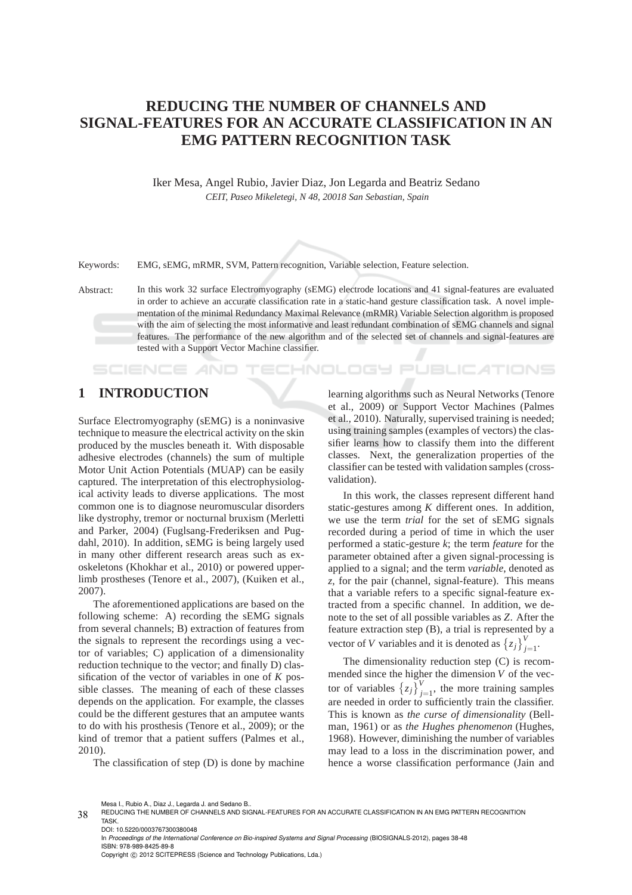# **REDUCING THE NUMBER OF CHANNELS AND SIGNAL-FEATURES FOR AN ACCURATE CLASSIFICATION IN AN EMG PATTERN RECOGNITION TASK**

Iker Mesa, Angel Rubio, Javier Diaz, Jon Legarda and Beatriz Sedano *CEIT, Paseo Mikeletegi, N 48, 20018 San Sebastian, Spain*

Keywords: EMG, sEMG, mRMR, SVM, Pattern recognition, Variable selection, Feature selection.

Abstract: In this work 32 surface Electromyography (sEMG) electrode locations and 41 signal-features are evaluated in order to achieve an accurate classification rate in a static-hand gesture classification task. A novel implementation of the minimal Redundancy Maximal Relevance (mRMR) Variable Selection algorithm is proposed with the aim of selecting the most informative and least redundant combination of sEMG channels and signal features. The performance of the new algorithm and of the selected set of channels and signal-features are tested with a Support Vector Machine classifier.

## **1 INTRODUCTION**

**SCIENCE AND** 

Surface Electromyography (sEMG) is a noninvasive technique to measure the electrical activity on the skin produced by the muscles beneath it. With disposable adhesive electrodes (channels) the sum of multiple Motor Unit Action Potentials (MUAP) can be easily captured. The interpretation of this electrophysiological activity leads to diverse applications. The most common one is to diagnose neuromuscular disorders like dystrophy, tremor or nocturnal bruxism (Merletti and Parker, 2004) (Fuglsang-Frederiksen and Pugdahl, 2010). In addition, sEMG is being largely used in many other different research areas such as exoskeletons (Khokhar et al., 2010) or powered upperlimb prostheses (Tenore et al., 2007), (Kuiken et al., 2007).

The aforementioned applications are based on the following scheme: A) recording the sEMG signals from several channels; B) extraction of features from the signals to represent the recordings using a vector of variables; C) application of a dimensionality reduction technique to the vector; and finally D) classification of the vector of variables in one of *K* possible classes. The meaning of each of these classes depends on the application. For example, the classes could be the different gestures that an amputee wants to do with his prosthesis (Tenore et al., 2009); or the kind of tremor that a patient suffers (Palmes et al., 2010).

The classification of step (D) is done by machine

learning algorithms such as Neural Networks (Tenore et al., 2009) or Support Vector Machines (Palmes et al., 2010). Naturally, supervised training is needed; using training samples (examples of vectors) the classifier learns how to classify them into the different classes. Next, the generalization properties of the classifier can be tested with validation samples (crossvalidation).

CHNOLOGY PUBLIC ATIONS

In this work, the classes represent different hand static-gestures among *K* different ones. In addition, we use the term *trial* for the set of sEMG signals recorded during a period of time in which the user performed a static-gesture *k*; the term *feature* for the parameter obtained after a given signal-processing is applied to a signal; and the term *variable*, denoted as *z*, for the pair (channel, signal-feature). This means that a variable refers to a specific signal-feature extracted from a specific channel. In addition, we denote to the set of all possible variables as *Z*. After the feature extraction step (B), a trial is represented by a vector of *V* variables and it is denoted as  $\{z_j\}_{j=1}^V$ .

The dimensionality reduction step (C) is recommended since the higher the dimension *V* of the vector of variables  $\{z_j\}_{j=1}^V$ , the more training samples are needed in order to sufficiently train the classifier. This is known as *the curse of dimensionality* (Bellman, 1961) or as *the Hughes phenomenon* (Hughes, 1968). However, diminishing the number of variables may lead to a loss in the discrimination power, and hence a worse classification performance (Jain and

Mesa I., Rubio A., Diaz J., Legarda J. and Sedano B..

In *Proceedings of the International Conference on Bio-inspired Systems and Signal Processing* (BIOSIGNALS-2012), pages 38-48 ISBN: 978-989-8425-89-8 Copyright © 2012 SCITEPRESS (Science and Technology Publications, Lda.)

<sup>38</sup> REDUCING THE NUMBER OF CHANNELS AND SIGNAL-FEATURES FOR AN ACCURATE CLASSIFICATION IN AN EMG PATTERN RECOGNITION TASK. DOI: 10.5220/0003767300380048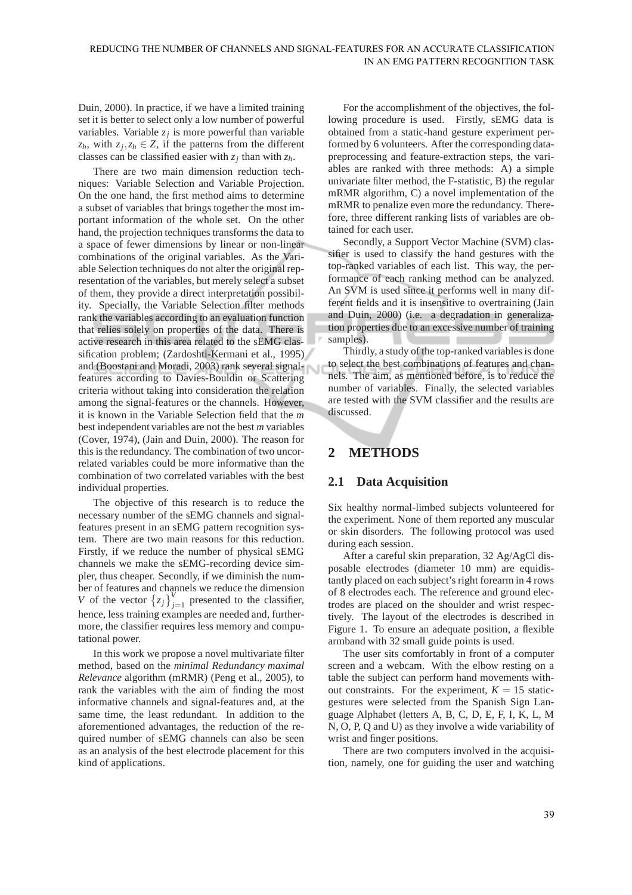Duin, 2000). In practice, if we have a limited training set it is better to select only a low number of powerful variables. Variable  $z_j$  is more powerful than variable  $z_h$ , with  $z_j$ ,  $z_h \in Z$ , if the patterns from the different classes can be classified easier with  $z_j$  than with  $z_h$ .

There are two main dimension reduction techniques: Variable Selection and Variable Projection. On the one hand, the first method aims to determine a subset of variables that brings together the most important information of the whole set. On the other hand, the projection techniques transforms the data to a space of fewer dimensions by linear or non-linear combinations of the original variables. As the Variable Selection techniques do not alter the original representation of the variables, but merely select a subset of them, they provide a direct interpretation possibility. Specially, the Variable Selection filter methods rank the variables according to an evaluation function that relies solely on properties of the data. There is active research in this area related to the sEMG classification problem; (Zardoshti-Kermani et al., 1995) and (Boostani and Moradi, 2003) rank several signalfeatures according to Davies-Bouldin or Scattering criteria without taking into consideration the relation among the signal-features or the channels. However, it is known in the Variable Selection field that the *m* best independent variables are not the best *m* variables (Cover, 1974), (Jain and Duin, 2000). The reason for this is the redundancy. The combination of two uncorrelated variables could be more informative than the combination of two correlated variables with the best individual properties.

The objective of this research is to reduce the necessary number of the sEMG channels and signalfeatures present in an sEMG pattern recognition system. There are two main reasons for this reduction. Firstly, if we reduce the number of physical sEMG channels we make the sEMG-recording device simpler, thus cheaper. Secondly, if we diminish the number of features and channels we reduce the dimension *V* of the vector  $\{z_j\}_{j=1}^V$  presented to the classifier, hence, less training examples are needed and, furthermore, the classifier requires less memory and computational power.

In this work we propose a novel multivariate filter method, based on the *minimal Redundancy maximal Relevance* algorithm (mRMR) (Peng et al., 2005), to rank the variables with the aim of finding the most informative channels and signal-features and, at the same time, the least redundant. In addition to the aforementioned advantages, the reduction of the required number of sEMG channels can also be seen as an analysis of the best electrode placement for this kind of applications.

For the accomplishment of the objectives, the following procedure is used. Firstly, sEMG data is obtained from a static-hand gesture experiment performed by 6 volunteers. After the corresponding datapreprocessing and feature-extraction steps, the variables are ranked with three methods: A) a simple univariate filter method, the F-statistic, B) the regular mRMR algorithm, C) a novel implementation of the mRMR to penalize even more the redundancy. Therefore, three different ranking lists of variables are obtained for each user.

Secondly, a Support Vector Machine (SVM) classifier is used to classify the hand gestures with the top-ranked variables of each list. This way, the performance of each ranking method can be analyzed. An SVM is used since it performs well in many different fields and it is insensitive to overtraining (Jain and Duin, 2000) (i.e. a degradation in generalization properties due to an excessive number of training samples). 

Thirdly, a study of the top-ranked variables is done to select the best combinations of features and channels. The aim, as mentioned before, is to reduce the number of variables. Finally, the selected variables are tested with the SVM classifier and the results are discussed.

## **2 METHODS**

#### **2.1 Data Acquisition**

Six healthy normal-limbed subjects volunteered for the experiment. None of them reported any muscular or skin disorders. The following protocol was used during each session.

After a careful skin preparation, 32 Ag/AgCl disposable electrodes (diameter 10 mm) are equidistantly placed on each subject's right forearm in 4 rows of 8 electrodes each. The reference and ground electrodes are placed on the shoulder and wrist respectively. The layout of the electrodes is described in Figure 1. To ensure an adequate position, a flexible armband with 32 small guide points is used.

The user sits comfortably in front of a computer screen and a webcam. With the elbow resting on a table the subject can perform hand movements without constraints. For the experiment,  $K = 15$  staticgestures were selected from the Spanish Sign Language Alphabet (letters A, B, C, D, E, F, I, K, L, M N, O, P, Q and U) as they involve a wide variability of wrist and finger positions.

There are two computers involved in the acquisition, namely, one for guiding the user and watching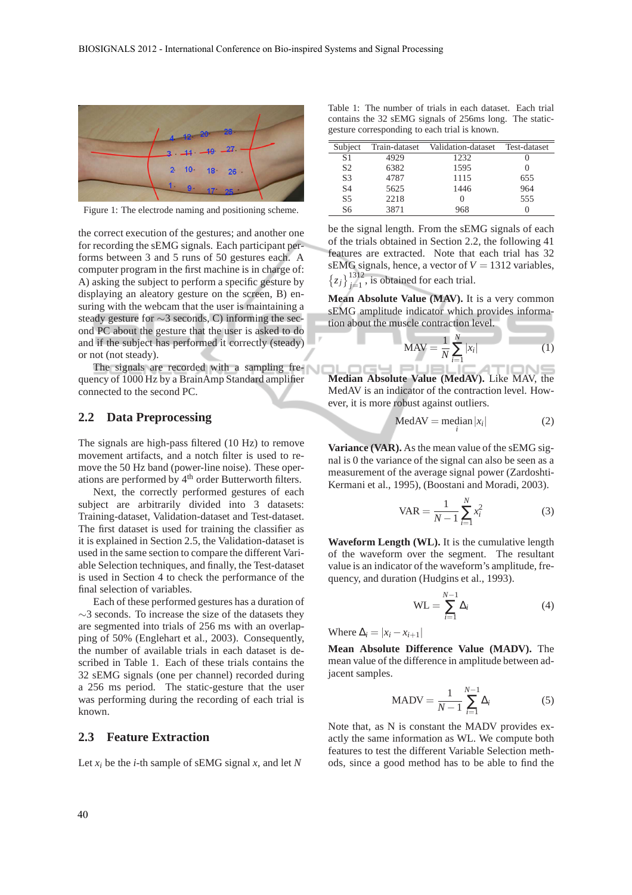

Figure 1: The electrode naming and positioning scheme.

the correct execution of the gestures; and another one for recording the sEMG signals. Each participant performs between 3 and 5 runs of 50 gestures each. A computer program in the first machine is in charge of: A) asking the subject to perform a specific gesture by displaying an aleatory gesture on the screen, B) ensuring with the webcam that the user is maintaining a steady gesture for ∼3 seconds, C) informing the second PC about the gesture that the user is asked to do and if the subject has performed it correctly (steady) or not (not steady).

The signals are recorded with a sampling frequency of 1000 Hz by a BrainAmp Standard amplifier connected to the second PC.

### **2.2 Data Preprocessing**

The signals are high-pass filtered (10 Hz) to remove movement artifacts, and a notch filter is used to remove the 50 Hz band (power-line noise). These operations are performed by 4<sup>th</sup> order Butterworth filters.

Next, the correctly performed gestures of each subject are arbitrarily divided into 3 datasets: Training-dataset, Validation-dataset and Test-dataset. The first dataset is used for training the classifier as it is explained in Section 2.5, the Validation-dataset is used in the same section to compare the different Variable Selection techniques, and finally, the Test-dataset is used in Section 4 to check the performance of the final selection of variables.

Each of these performed gestures has a duration of ∼3 seconds. To increase the size of the datasets they are segmented into trials of 256 ms with an overlapping of 50% (Englehart et al., 2003). Consequently, the number of available trials in each dataset is described in Table 1. Each of these trials contains the 32 sEMG signals (one per channel) recorded during a 256 ms period. The static-gesture that the user was performing during the recording of each trial is known.

#### **2.3 Feature Extraction**

Let  $x_i$  be the *i*-th sample of sEMG signal  $x$ , and let  $N$ 

Table 1: The number of trials in each dataset. Each trial contains the 32 sEMG signals of 256ms long. The staticgesture corresponding to each trial is known.

| Subject        | Train-dataset | Validation-dataset | Test-dataset |
|----------------|---------------|--------------------|--------------|
| S1             | 4929          | 1232               |              |
| S <sub>2</sub> | 6382          | 1595               |              |
| S <sub>3</sub> | 4787          | 1115               | 655          |
| S <sub>4</sub> | 5625          | 1446               | 964          |
| S <sub>5</sub> | 2218          | $\mathbf{0}$       | 555          |
| S6             | 3871          | 968                |              |

be the signal length. From the sEMG signals of each of the trials obtained in Section 2.2, the following 41 features are extracted. Note that each trial has 32 sEMG signals, hence, a vector of *V* = 1312 variables,  $\left\{z_j\right\}_{j=1}^{1312}$ , is obtained for each trial.

**Mean Absolute Value (MAV).** It is a very common sEMG amplitude indicator which provides information about the muscle contraction level.

$$
MAV = \frac{1}{N} \sum_{i=1}^{N} |x_i|
$$
 (1)

osy eū **Median Absolute Value (MedAV).** Like MAV, the MedAV is an indicator of the contraction level. However, it is more robust against outliers.

$$
MedAV = median |x_i|
$$
 (2)

**Variance (VAR).** As the mean value of the sEMG signal is 0 the variance of the signal can also be seen as a measurement of the average signal power (Zardoshti-Kermani et al., 1995), (Boostani and Moradi, 2003).

$$
VAR = \frac{1}{N - 1} \sum_{i=1}^{N} x_i^2
$$
 (3)

**Waveform Length (WL).** It is the cumulative length of the waveform over the segment. The resultant value is an indicator of the waveform's amplitude, frequency, and duration (Hudgins et al., 1993).

$$
WL = \sum_{i=1}^{N-1} \Delta_i
$$
 (4)

Where  $\Delta_i = |x_i - x_{i+1}|$ 

**Mean Absolute Difference Value (MADV).** The mean value of the difference in amplitude between adjacent samples.

$$
MADV = \frac{1}{N-1} \sum_{i=1}^{N-1} \Delta_i
$$
 (5)

Note that, as N is constant the MADV provides exactly the same information as WL. We compute both features to test the different Variable Selection methods, since a good method has to be able to find the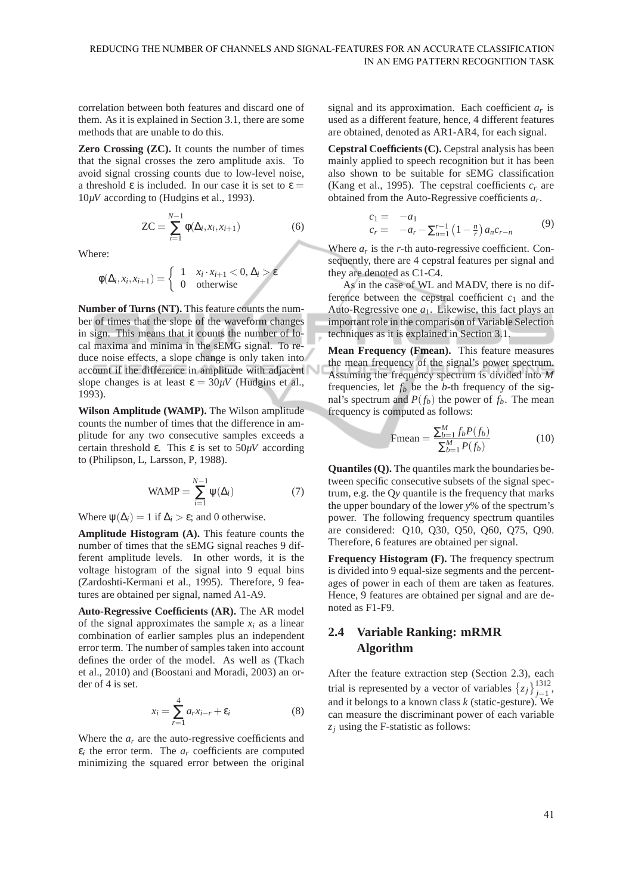correlation between both features and discard one of them. As it is explained in Section 3.1, there are some methods that are unable to do this.

**Zero Crossing (ZC).** It counts the number of times that the signal crosses the zero amplitude axis. To avoid signal crossing counts due to low-level noise, a threshold  $\varepsilon$  is included. In our case it is set to  $\varepsilon =$ 10*µV* according to (Hudgins et al., 1993).

$$
ZC = \sum_{i=1}^{N-1} \phi(\Delta_i, x_i, x_{i+1})
$$
 (6)

Where:

$$
\phi(\Delta_i, x_i, x_{i+1}) = \begin{cases} 1 & x_i \cdot x_{i+1} < 0, \Delta_i > \varepsilon \\ 0 & \text{otherwise} \end{cases}
$$

**Number of Turns (NT).** This feature counts the number of times that the slope of the waveform changes in sign. This means that it counts the number of local maxima and minima in the sEMG signal. To reduce noise effects, a slope change is only taken into account if the difference in amplitude with adjacent slope changes is at least  $\varepsilon = 30 \mu V$  (Hudgins et al., 1993).

**Wilson Amplitude (WAMP).** The Wilson amplitude counts the number of times that the difference in amplitude for any two consecutive samples exceeds a certain threshold ε. This ε is set to 50*µV* according to (Philipson, L, Larsson, P, 1988).

$$
WAMP = \sum_{i=1}^{N-1} \psi(\Delta_i)
$$
 (7)

Where  $\psi(\Delta_i) = 1$  if  $\Delta_i > \varepsilon$ ; and 0 otherwise.

**Amplitude Histogram (A).** This feature counts the number of times that the sEMG signal reaches 9 different amplitude levels. In other words, it is the voltage histogram of the signal into 9 equal bins (Zardoshti-Kermani et al., 1995). Therefore, 9 features are obtained per signal, named A1-A9.

**Auto-Regressive Coefficients (AR).** The AR model of the signal approximates the sample  $x_i$  as a linear combination of earlier samples plus an independent error term. The number of samples taken into account defines the order of the model. As well as (Tkach et al., 2010) and (Boostani and Moradi, 2003) an order of 4 is set.

$$
x_i = \sum_{r=1}^{4} a_r x_{i-r} + \varepsilon_i \tag{8}
$$

Where the  $a_r$  are the auto-regressive coefficients and  $\varepsilon_i$  the error term. The  $a_r$  coefficients are computed minimizing the squared error between the original

signal and its approximation. Each coefficient *a<sup>r</sup>* is used as a different feature, hence, 4 different features are obtained, denoted as AR1-AR4, for each signal.

**Cepstral Coefficients (C).** Cepstral analysis has been mainly applied to speech recognition but it has been also shown to be suitable for sEMG classification (Kang et al., 1995). The cepstral coefficients  $c_r$  are obtained from the Auto-Regressive coefficients *a<sup>r</sup>* .

$$
c_1 = -a_1 c_r = -a_r - \sum_{n=1}^{r-1} (1 - \frac{n}{r}) a_n c_{r-n}
$$
 (9)

Where  $a_r$  is the  $r$ -th auto-regressive coefficient. Consequently, there are 4 cepstral features per signal and they are denoted as C1-C4.

As in the case of WL and MADV, there is no difference between the cepstral coefficient  $c_1$  and the Auto-Regressive one  $a_1$ . Likewise, this fact plays an important role in the comparison of Variable Selection techniques as it is explained in Section 3.1.

**Mean Frequency (Fmean).** This feature measures the mean frequency of the signal's power spectrum. Assuming the frequency spectrum is divided into *M* frequencies, let  $f_b$  be the *b*-th frequency of the signal's spectrum and  $P(f_b)$  the power of  $f_b$ . The mean frequency is computed as follows:

$$
\text{Fmean} = \frac{\sum_{b=1}^{M} f_b P(f_b)}{\sum_{b=1}^{M} P(f_b)} \tag{10}
$$

**Quantiles (Q).** The quantiles mark the boundaries between specific consecutive subsets of the signal spectrum, e.g. the Q*y* quantile is the frequency that marks the upper boundary of the lower *y*% of the spectrum's power. The following frequency spectrum quantiles are considered: Q10, Q30, Q50, Q60, Q75, Q90. Therefore, 6 features are obtained per signal.

**Frequency Histogram (F).** The frequency spectrum is divided into 9 equal-size segments and the percentages of power in each of them are taken as features. Hence, 9 features are obtained per signal and are denoted as F1-F9.

### **2.4 Variable Ranking: mRMR Algorithm**

After the feature extraction step (Section 2.3), each trial is represented by a vector of variables  $\{z_j\}_{j=1}^{1312}$ , and it belongs to a known class *k* (static-gesture). We can measure the discriminant power of each variable *z<sup>j</sup>* using the F-statistic as follows: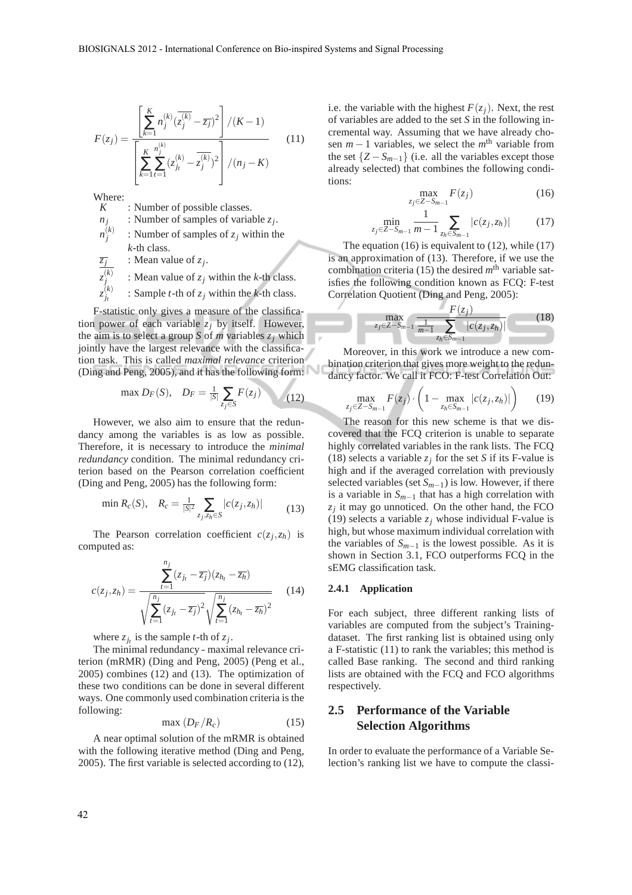$$
F(z_j) = \frac{\left[\sum_{k=1}^{K} n_j^{(k)} (\overline{z_j^{(k)}} - \overline{z_j})^2\right] / (K - 1)}{\left[\sum_{k=1}^{K} \sum_{t=1}^{n_j^{(k)}} (z_{j_t}^{(k)} - \overline{z_j^{(k)}})^2\right] / (n_j - K)}
$$
(11)

Where:  $\frac{W}{K}$ 

*z*

: Number of possible classes.

*nj* : Number of samples of variable *z<sup>j</sup>* .

 $n_j^{(k)}$ : Number of samples of *z<sup>j</sup>* within the *k*-th class.

*zj* : Mean value of *z<sup>j</sup>* .

$$
z_j^{(k)}
$$
 : Mean value of  $z_j$  within the *k*-th class.

$$
{}_{j_t}^{(k)}
$$
 : Sample *t*-th of  $z_j$  within the *k*-th class.

F-statistic only gives a measure of the classification power of each variable  $z_j$  by itself. However, the aim is to select a group *S* of *m* variables  $z_j$  which jointly have the largest relevance with the classification task. This is called *maximal relevance* criterion (Ding and Peng, 2005), and it has the following form:

max 
$$
D_F(S)
$$
,  $D_F = \frac{1}{|S|} \sum_{z_j \in S} F(z_j)$  (12)

However, we also aim to ensure that the redundancy among the variables is as low as possible. Therefore, it is necessary to introduce the *minimal redundancy* condition. The minimal redundancy criterion based on the Pearson correlation coefficient (Ding and Peng, 2005) has the following form:

$$
\min R_c(S), \quad R_c = \frac{1}{|S|^2} \sum_{z_j, z_h \in S} |c(z_j, z_h)| \tag{13}
$$

The Pearson correlation coefficient  $c(z_j, z_h)$  is computed as:

$$
c(z_j, z_h) = \frac{\sum_{t=1}^{n_j} (z_{j_t} - \overline{z_j})(z_{h_t} - \overline{z_h})}{\sqrt{\sum_{t=1}^{n_j} (z_{j_t} - \overline{z_j})^2} \sqrt{\sum_{t=1}^{n_j} (z_{h_t} - \overline{z_h})^2}}
$$
(14)

where  $z_{j_t}$  is the sample *t*-th of  $z_j$ .

The minimal redundancy - maximal relevance criterion (mRMR) (Ding and Peng, 2005) (Peng et al., 2005) combines (12) and (13). The optimization of these two conditions can be done in several different ways. One commonly used combination criteria is the following:

$$
\max\left(D_F/R_c\right) \tag{15}
$$

A near optimal solution of the mRMR is obtained with the following iterative method (Ding and Peng, 2005). The first variable is selected according to (12), i.e. the variable with the highest  $F(z_j)$ . Next, the rest of variables are added to the set *S* in the following incremental way. Assuming that we have already chosen  $m-1$  variables, we select the  $m<sup>th</sup>$  variable from the set  $\{Z - S_{m-1}\}$  (i.e. all the variables except those already selected) that combines the following conditions:

$$
\max_{z_j \in Z - S_{m-1}} F(z_j) \tag{16}
$$

$$
\min_{z_j \in Z - S_{m-1}} \frac{1}{m-1} \sum_{z_h \in S_{m-1}} |c(z_j, z_h)| \tag{17}
$$

The equation  $(16)$  is equivalent to  $(12)$ , while  $(17)$ is an approximation of (13). Therefore, if we use the combination criteria (15) the desired  $m<sup>th</sup>$  variable satisfies the following condition known as FCQ: F-test Correlation Quotient (Ding and Peng, 2005):

$$
\max_{z_j \in Z - S_{m-1}} \frac{F(z_j)}{\frac{1}{m-1} \sum_{z_h \in S_{m-1}} |c(z_j, z_h)|} \tag{18}
$$

Moreover, in this work we introduce a new combination criterion that gives more weight to the redundancy factor. We call it FCO: F-test Correlation Out:

$$
\max_{\substack{\in Z-S_{m-1}}} F(z_j) \cdot \left(1 - \max_{z_h \in S_{m-1}} |c(z_j, z_h)|\right) \tag{19}
$$

The reason for this new scheme is that we discovered that the FCQ criterion is unable to separate highly correlated variables in the rank lists. The FCQ (18) selects a variable  $z_j$  for the set *S* if its F-value is high and if the averaged correlation with previously selected variables (set *Sm*−1) is low. However, if there is a variable in *Sm*−<sup>1</sup> that has a high correlation with  $z_j$  it may go unnoticed. On the other hand, the FCO (19) selects a variable  $z_j$  whose individual F-value is high, but whose maximum individual correlation with the variables of *Sm*−<sup>1</sup> is the lowest possible. As it is shown in Section 3.1, FCO outperforms FCQ in the sEMG classification task.

#### **2.4.1 Application**

*zj*∈*Z*−*Sm*−<sup>1</sup>

For each subject, three different ranking lists of variables are computed from the subject's Trainingdataset. The first ranking list is obtained using only a F-statistic (11) to rank the variables; this method is called Base ranking. The second and third ranking lists are obtained with the FCQ and FCO algorithms respectively.

## **2.5 Performance of the Variable Selection Algorithms**

In order to evaluate the performance of a Variable Selection's ranking list we have to compute the classi-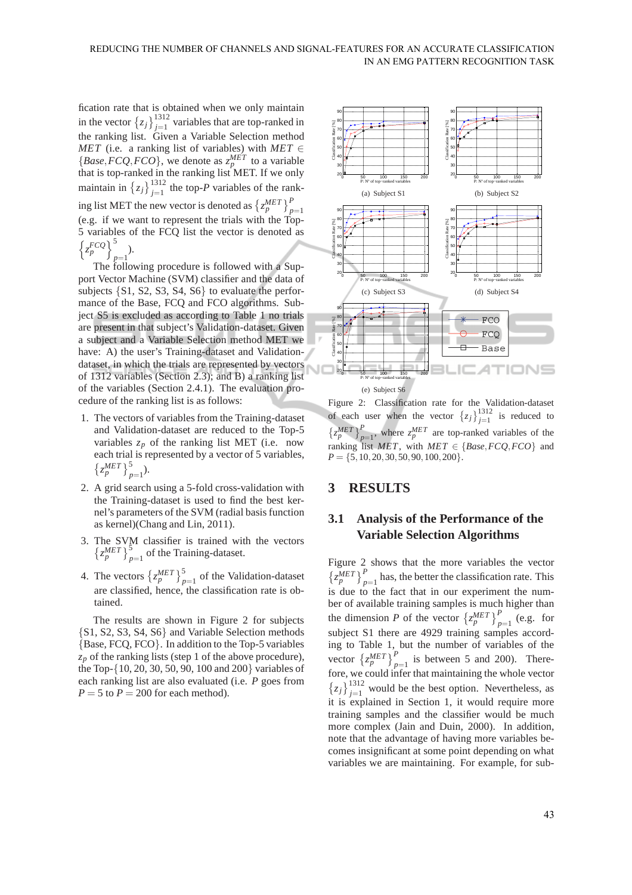fication rate that is obtained when we only maintain in the vector  $\{z_j\}_{j=1}^{1312}$  variables that are top-ranked in the ranking list. Given a Variable Selection method *MET* (i.e. a ranking list of variables) with  $MET \in$ {*Base*,*FCQ*,*FCO*}, we denote as  $z_p^{MET}$  to a variable that is top-ranked in the ranking list MET. If we only maintain in  $\{z_j\}_{j=1}^{1312}$  the top-*P* variables of the ranking list MET the new vector is denoted as  $\left\{z_p^{MET}\right\}_{p=1}^P$ (e.g. if we want to represent the trials with the Top-5 variables of the FCQ list the vector is denoted as  $\left\{ \frac{FCQ}{z_p} \right\}^5$ *p*=1 ).

The following procedure is followed with a Support Vector Machine (SVM) classifier and the data of subjects {S1, S2, S3, S4, S6} to evaluate the performance of the Base, FCQ and FCO algorithms. Subject S5 is excluded as according to Table 1 no trials are present in that subject's Validation-dataset. Given a subject and a Variable Selection method MET we have: A) the user's Training-dataset and Validationdataset, in which the trials are represented by vectors of 1312 variables (Section 2.3); and B) a ranking list of the variables (Section 2.4.1). The evaluation procedure of the ranking list is as follows:

- 1. The vectors of variables from the Training-dataset and Validation-dataset are reduced to the Top-5 variables  $z_p$  of the ranking list MET (i.e. now each trial is represented by a vector of 5 variables,  $\left\{ z_p^{MET} \right\}_{p=1}^5$ .
- 2. A grid search using a 5-fold cross-validation with the Training-dataset is used to find the best kernel's parameters of the SVM (radial basis function as kernel)(Chang and Lin, 2011).
- 3. The SVM classifier is trained with the vectors  $\left\{z_p^{MET}\right\}_{p=1}^5$  of the Training-dataset.
- 4. The vectors  $\left\{z_p^{MET}\right\}_{p=1}^5$  of the Validation-dataset are classified, hence, the classification rate is obtained.

The results are shown in Figure 2 for subjects {S1, S2, S3, S4, S6} and Variable Selection methods {Base, FCQ, FCO}. In addition to the Top-5 variables  $z_p$  of the ranking lists (step 1 of the above procedure), the Top-{10, 20, 30, 50, 90, 100 and 200} variables of each ranking list are also evaluated (i.e. *P* goes from  $P = 5$  to  $P = 200$  for each method).



Figure 2: Classification rate for the Validation-dataset of each user when the vector  $\{z_j\}_{j=1}^{1312}$  is reduced to  $\left\{z_p^{MET}\right\}_{p=1}^P$ , where  $z_p^{MET}$  are top-ranked variables of the ranking list  $MET$ , with  $MET \in \{Base, FCQ, FCO\}$  and  $P = \{5, 10, 20, 30, 50, 90, 100, 200\}.$ 

### **3 RESULTS**

### **3.1 Analysis of the Performance of the Variable Selection Algorithms**

Figure 2 shows that the more variables the vector  $\left\{z_p^{MET}\right\}_{p=1}^P$  has, the better the classification rate. This is due to the fact that in our experiment the number of available training samples is much higher than the dimension *P* of the vector  $\left\{z_p^{MET}\right\}_{p=1}^P$  (e.g. for subject S1 there are 4929 training samples according to Table 1, but the number of variables of the vector  $\left\{z_p^{MET}\right\}_{p=1}^P$  is between 5 and 200). Therefore, we could infer that maintaining the whole vector  $\{z_j\}_{j=1}^{1312}$  would be the best option. Nevertheless, as it is explained in Section 1, it would require more training samples and the classifier would be much more complex (Jain and Duin, 2000). In addition, note that the advantage of having more variables becomes insignificant at some point depending on what variables we are maintaining. For example, for sub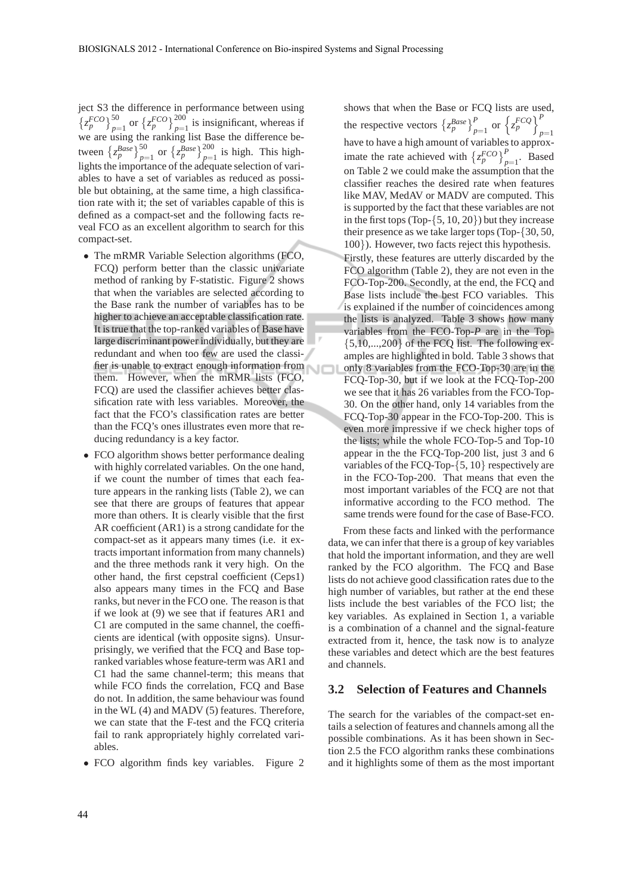ject S3 the difference in performance between using  $\left\{z_p^{FCO}\right\}_{p=1}^{50}$  or  $\left\{z_p^{FCO}\right\}_{p=1}^{200}$  is insignificant, whereas if we are using the ranking list Base the difference between  $\left\{z_p^{Base}\right\}_{p=1}^{50}$  or  $\left\{z_p^{Base}\right\}_{p=1}^{200}$  is high. This highlights the importance of the adequate selection of variables to have a set of variables as reduced as possible but obtaining, at the same time, a high classification rate with it; the set of variables capable of this is defined as a compact-set and the following facts reveal FCO as an excellent algorithm to search for this compact-set.

- The mRMR Variable Selection algorithms (FCO, FCQ) perform better than the classic univariate method of ranking by F-statistic. Figure 2 shows that when the variables are selected according to the Base rank the number of variables has to be higher to achieve an acceptable classification rate. It is true that the top-ranked variables of Base have large discriminant power individually, but they are redundant and when too few are used the classifier is unable to extract enough information from them. However, when the mRMR lists (FCO, FCQ) are used the classifier achieves better classification rate with less variables. Moreover, the fact that the FCO's classification rates are better than the FCQ's ones illustrates even more that reducing redundancy is a key factor.
- FCO algorithm shows better performance dealing with highly correlated variables. On the one hand, if we count the number of times that each feature appears in the ranking lists (Table 2), we can see that there are groups of features that appear more than others. It is clearly visible that the first AR coefficient (AR1) is a strong candidate for the compact-set as it appears many times (i.e. it extracts important information from many channels) and the three methods rank it very high. On the other hand, the first cepstral coefficient (Ceps1) also appears many times in the FCQ and Base ranks, but never in the FCO one. The reason is that if we look at (9) we see that if features AR1 and C1 are computed in the same channel, the coefficients are identical (with opposite signs). Unsurprisingly, we verified that the FCQ and Base topranked variables whose feature-term was AR1 and C1 had the same channel-term; this means that while FCO finds the correlation, FCO and Base do not. In addition, the same behaviour was found in the WL (4) and MADV (5) features. Therefore, we can state that the F-test and the FCQ criteria fail to rank appropriately highly correlated variables.
- FCO algorithm finds key variables. Figure 2

shows that when the Base or FCQ lists are used, the respective vectors  $\left\{z_p^{Base}\right\}_{p=1}^P$  or  $\left\{\frac{FCQ}{z_p}\right\}_{n=1}^P$ have to have a high amount of variables to approximate the rate achieved with  $\left\{z_p^{FCO}\right\}_{p=1}^P$ . Based on Table 2 we could make the assumption that the classifier reaches the desired rate when features like MAV, MedAV or MADV are computed. This is supported by the fact that these variables are not in the first tops (Top- $\{5, 10, 20\}$ ) but they increase their presence as we take larger tops (Top-{30, 50, 100}). However, two facts reject this hypothesis.

Firstly, these features are utterly discarded by the FCO algorithm (Table 2), they are not even in the FCO-Top-200. Secondly, at the end, the FCQ and Base lists include the best FCO variables. This is explained if the number of coincidences among the lists is analyzed. Table 3 shows how many variables from the FCO-Top-*P* are in the Top-  $\{5,10,...,200\}$  of the FCQ list. The following examples are highlighted in bold. Table 3 shows that only 8 variables from the FCO-Top-30 are in the FCQ-Top-30, but if we look at the FCQ-Top-200 we see that it has 26 variables from the FCO-Top-30. On the other hand, only 14 variables from the FCQ-Top-30 appear in the FCO-Top-200. This is even more impressive if we check higher tops of the lists; while the whole FCO-Top-5 and Top-10 appear in the the FCQ-Top-200 list, just 3 and 6 variables of the FCQ-Top-{5, 10} respectively are in the FCO-Top-200. That means that even the most important variables of the FCQ are not that informative according to the FCO method. The same trends were found for the case of Base-FCO.

From these facts and linked with the performance data, we can infer that there is a group of key variables that hold the important information, and they are well ranked by the FCO algorithm. The FCQ and Base lists do not achieve good classification rates due to the high number of variables, but rather at the end these lists include the best variables of the FCO list; the key variables. As explained in Section 1, a variable is a combination of a channel and the signal-feature extracted from it, hence, the task now is to analyze these variables and detect which are the best features and channels.

#### **3.2 Selection of Features and Channels**

The search for the variables of the compact-set entails a selection of features and channels among all the possible combinations. As it has been shown in Section 2.5 the FCO algorithm ranks these combinations and it highlights some of them as the most important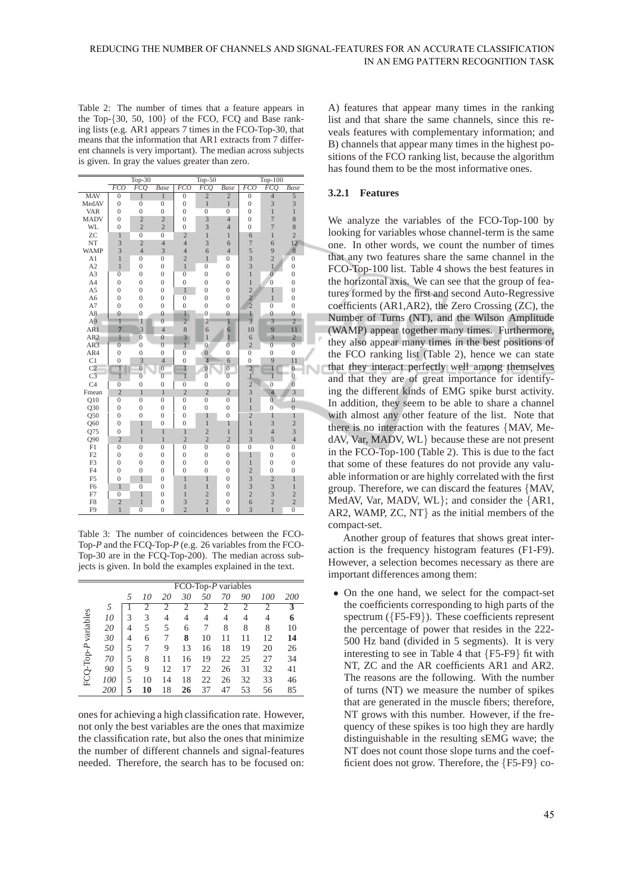Table 2: The number of times that a feature appears in the Top-{30, 50, 100} of the FCO, FCQ and Base ranking lists (e.g. AR1 appears 7 times in the FCO-Top-30, that means that the information that AR1 extracts from 7 different channels is very important). The median across subjects is given. In gray the values greater than zero.

|                 |                  | Top-30           |                  |                | $Top-50$         |                  |                         | Top-100          |                  |  |
|-----------------|------------------|------------------|------------------|----------------|------------------|------------------|-------------------------|------------------|------------------|--|
|                 | <b>FCO</b>       | <b>FCQ</b>       | Base             | <b>FCO</b>     | <b>FCQ</b>       | <b>Base</b>      | <b>FCO</b>              | <b>FCQ</b>       | Base             |  |
| MAV             | $\overline{0}$   | $\mathbf{1}$     | $\mathbf{1}$     | $\overline{0}$ | $\overline{c}$   | $\overline{c}$   | $\overline{0}$          | $\overline{4}$   | 5                |  |
| MedAV           | $\boldsymbol{0}$ | $\overline{0}$   | $\overline{0}$   | $\mathbf{0}$   | $\,1$            | $\,1$            | $\boldsymbol{0}$        | $\overline{3}$   | 3                |  |
| <b>VAR</b>      | $\boldsymbol{0}$ | $\mathbf{0}$     | $\mathbf{0}$     | $\overline{0}$ | $\overline{0}$   | $\overline{0}$   | $\mathbf{0}$            | $\,1$            | $\mathbf{1}$     |  |
| <b>MADV</b>     | $\boldsymbol{0}$ | $\overline{c}$   | $\overline{c}$   | $\overline{0}$ | $\overline{3}$   | $\overline{4}$   | $\mathbf{0}$            | $\overline{7}$   | 8                |  |
| <b>WL</b>       | $\overline{0}$   | $\overline{c}$   | $\overline{c}$   | $\theta$       | $\overline{3}$   | $\overline{4}$   | $\overline{0}$          | $\overline{7}$   | 8                |  |
| ZC              | $\mathbf{1}$     | $\overline{0}$   | $\overline{0}$   | $\overline{2}$ | $\,1$            | $\mathbf{1}$     | 6                       | $\mathbf{1}$     | $\overline{c}$   |  |
| NT              | $\overline{3}$   | $\overline{2}$   | $\overline{4}$   | $\overline{4}$ | $\overline{3}$   | 6                | $\overline{7}$          | 6                | 12               |  |
| <b>WAMP</b>     | $\overline{3}$   | $\overline{4}$   | 3                | $\overline{4}$ | 6                | $\overline{4}$   | 5                       | $\overline{9}$   | $\overline{8}$   |  |
| A1              | $\mathbf{1}$     | $\overline{0}$   | $\overline{0}$   | $\overline{c}$ | $\mathbf{1}$     | $\boldsymbol{0}$ | $\overline{\mathbf{3}}$ | $\overline{c}$   | $\overline{0}$   |  |
| A2              | $\overline{1}$   | $\mathbf{0}$     | $\overline{0}$   | $\mathbf{1}$   | $\overline{0}$   | $\boldsymbol{0}$ | $\overline{3}$          | $\mathbf{1}$     | $\boldsymbol{0}$ |  |
| A3              | $\overline{0}$   | $\overline{0}$   | $\overline{0}$   | $\overline{0}$ | $\overline{0}$   | $\overline{0}$   | $\mathbf{1}$            | $\overline{0}$   | $\boldsymbol{0}$ |  |
| A4              | $\overline{0}$   | $\overline{0}$   | $\boldsymbol{0}$ | $\overline{0}$ | $\overline{0}$   | $\overline{0}$   | $\mathbf{1}$            | $\overline{0}$   | $\mathbf 0$      |  |
| A5              | $\overline{0}$   | $\overline{0}$   | $\boldsymbol{0}$ | $\mathbf{1}$   | $\overline{0}$   | $\overline{0}$   | $\overline{c}$          | $\mathbf{1}$     | $\boldsymbol{0}$ |  |
| A6              | $\boldsymbol{0}$ | $\mathbf{0}$     | $\boldsymbol{0}$ | $\overline{0}$ | $\overline{0}$   | $\boldsymbol{0}$ | $\frac{2}{2}$           | $\mathbf{1}$     | $\boldsymbol{0}$ |  |
| A7              | $\overline{0}$   | $\overline{0}$   | $\boldsymbol{0}$ | $\overline{0}$ | $\overline{0}$   | $\overline{0}$   |                         | $\overline{0}$   | $\boldsymbol{0}$ |  |
| A8              | $\bf{0}$         | $\overline{0}$   | $\bf{0}$         | $1 -$          | $\overline{0}$   | $\overline{0}$   | $\mathbf{1}$            | $\bf{0}$         | $\bf{0}$         |  |
| A9              | $\mathbf{1}$     | $\mathbf{1}$     | $\overline{0}$   | $\overline{2}$ | $\overline{2}$   | $\mathbf{1}$     | $\overline{3}$          | $\overline{3}$   | $\overline{2}$   |  |
| AR1             | $\overline{7}$   | $\overline{3}$   | $\overline{4}$   | 8              | 6                | $\overline{6}$   | 10                      | $\overline{9}$   | 11               |  |
| AR <sub>2</sub> | $\mathbf{1}$     | $\overline{0}$   | $\overline{0}$   | $\overline{3}$ | $\mathbf{1}$     | $\overline{1}$   | 6                       | $\overline{3}$   | $\overline{c}$   |  |
| AR3             | $\overline{0}$   | $\overline{0}$   | $\overline{0}$   | $\mathbf{1}$   | $\overline{0}$   | $\overline{0}$   | $\overline{c}$          | $\overline{0}$   | $\overline{0}$   |  |
| AR4             | $\boldsymbol{0}$ | $\boldsymbol{0}$ | $\boldsymbol{0}$ | $\overline{0}$ | $\overline{0}$   | $\mathbf{0}$     | $\overline{0}$          | $\boldsymbol{0}$ | $\boldsymbol{0}$ |  |
| C1              | $\overline{0}$   | 3                | $\overline{4}$   | $\overline{0}$ | $\overline{4}$   | 6                | $\overline{0}$          | $\frac{9}{1}$    | 11               |  |
| C <sub>2</sub>  | $\overline{1}$   | $\overline{0}$   | $\overline{0}$   | $\mathbf{I}$   | $\overline{0}$   | $\overline{0}$   | $\frac{2}{1}$           |                  | $\overline{0}$   |  |
| C <sub>3</sub>  | $\overline{1}$   | $\overline{0}$   | $\overline{0}$   | $\mathbf{1}$   | $\overline{0}$   | $\overline{0}$   |                         | $\overline{1}$   | $\overline{0}$   |  |
| C <sub>4</sub>  | $\overline{0}$   | $\overline{0}$   | $\overline{0}$   | $\overline{0}$ | $\overline{0}$   | $\overline{0}$   |                         | $\overline{0}$   | $\overline{0}$   |  |
| Fmean           | $\overline{c}$   | $\mathbf{1}$     | $\mathbf{1}$     | $\overline{2}$ | $\overline{2}$   | $\overline{2}$   | $\overline{3}$          | $\overline{4}$   | $\overline{3}$   |  |
| Q10             | $\overline{0}$   | $\overline{0}$   | $\overline{0}$   | $\overline{0}$ | $\overline{0}$   | $\overline{0}$   | $\mathbf{1}$            | $\overline{0}$   | $\overline{0}$   |  |
| Q30             | $\overline{0}$   | $\overline{0}$   | $\boldsymbol{0}$ | $\overline{0}$ | $\boldsymbol{0}$ | $\overline{0}$   | $\mathbf{1}$            | $\overline{0}$   | $\overline{0}$   |  |
| Q50             | $\overline{0}$   | $\overline{0}$   | $\overline{0}$   | $\overline{0}$ | $\mathbf{1}$     | $\overline{0}$   | $\overline{c}$          | $\mathbf{1}$     | $\mathbf{1}$     |  |
| Q60             | $\overline{0}$   | $\mathbf{1}$     | $\overline{0}$   | $\overline{0}$ | $\overline{1}$   | $\mathbf{1}$     | $\overline{1}$          | $\overline{3}$   | $\overline{c}$   |  |
| Q75             | $\overline{0}$   | $\mathbf{1}$     | $\mathbf{1}$     | $\mathbf{1}$   | $\overline{c}$   | $\mathbf{1}$     | $\overline{3}$          | $\overline{4}$   | $\overline{3}$   |  |
| Q90             | $\overline{2}$   | $\overline{1}$   | $\overline{1}$   | $\overline{2}$ | $\overline{2}$   | $\overline{2}$   | $\overline{3}$          | 5                | $\overline{4}$   |  |
| F1              | $\overline{0}$   | $\overline{0}$   | $\overline{0}$   | $\overline{0}$ | $\overline{0}$   | $\overline{0}$   | $\overline{0}$          | $\overline{0}$   | $\overline{0}$   |  |
| F2              | $\overline{0}$   | $\overline{0}$   | $\overline{0}$   | $\overline{0}$ | $\overline{0}$   | $\mathbf 0$      | $\mathbf{1}$            | $\mathbf 0$      | $\mathbf 0$      |  |
| F <sub>3</sub>  | $\overline{0}$   | $\overline{0}$   | $\boldsymbol{0}$ | $\overline{0}$ | $\overline{0}$   | $\overline{0}$   | $\mathbf{1}$            | $\overline{0}$   | $\mathbf 0$      |  |
| F <sub>4</sub>  | $\overline{0}$   | $\mathbf{0}$     | $\overline{0}$   | $\overline{0}$ | $\boldsymbol{0}$ | $\overline{0}$   | $\overline{c}$          | $\overline{0}$   | $\boldsymbol{0}$ |  |
| F <sub>5</sub>  | $\overline{0}$   | $\mathbf{1}$     | $\overline{0}$   | $\mathbf{1}$   | $\mathbf{1}$     | $\overline{0}$   | 3                       | $\overline{c}$   | $\mathbf{1}$     |  |
| F <sub>6</sub>  | $\mathbf{1}$     | $\overline{0}$   | $\boldsymbol{0}$ | $\overline{1}$ | $\overline{1}$   | $\overline{0}$   | $\overline{3}$          | $\overline{3}$   | $\overline{1}$   |  |
| F7              | $\overline{0}$   | $\mathbf{1}$     | $\boldsymbol{0}$ | $\mathbf{1}$   | $\overline{2}$   | $\boldsymbol{0}$ | $\overline{c}$          | $\overline{3}$   | $\overline{c}$   |  |
| F8              | $\overline{2}$   | $\overline{1}$   | $\boldsymbol{0}$ | 3              | $\overline{c}$   | $\boldsymbol{0}$ | $\overline{6}$          | $\overline{c}$   | $\overline{2}$   |  |
| F <sub>9</sub>  | $\overline{1}$   | $\overline{0}$   | $\overline{0}$   | $\overline{2}$ | $\mathbf{1}$     | $\overline{0}$   | $\overline{3}$          | $\mathbf{1}$     | $\overline{0}$   |  |

Table 3: The number of coincidences between the FCO-Top-*P* and the FCQ-Top-*P* (e.g. 26 variables from the FCO-Top-30 are in the FCQ-Top-200). The median across subjects is given. In bold the examples explained in the text.

|                     |     |   |    |    | $FCO-Top-P$ variables |                |    |    |     |            |
|---------------------|-----|---|----|----|-----------------------|----------------|----|----|-----|------------|
|                     |     | 5 | 10 | 20 | 30                    | 50             | 70 | 90 | 100 | <i>200</i> |
|                     |     |   |    |    | 2                     | $\overline{c}$ |    | 2  |     |            |
|                     | 10  | 3 | 3  | 4  | 4                     | 4              | 4  | 4  | 4   | 6          |
|                     | 20  | 4 | 5  | 5  | 6                     | 7              | 8  | 8  | 8   | 10         |
| FCQ-Top-P variables | 30  | 4 | 6  | 7  | 8                     | 10             | 11 | 11 | 12  | 14         |
|                     | 50  | 5 | 7  | 9  | 13                    | 16             | 18 | 19 | 20  | 26         |
|                     | 70  | 5 | 8  | 11 | 16                    | 19             | 22 | 25 | 27  | 34         |
|                     | 90  | 5 | 9  | 12 | 17                    | 22             | 26 | 31 | 32  | 41         |
|                     | 100 | 5 | 10 | 14 | 18                    | 22             | 26 | 32 | 33  | 46         |
|                     | 200 |   | 10 | 18 | 26                    | 37             | 47 | 53 | 56  | 85         |

ones for achieving a high classification rate. However, not only the best variables are the ones that maximize the classification rate, but also the ones that minimize the number of different channels and signal-features needed. Therefore, the search has to be focused on:

A) features that appear many times in the ranking list and that share the same channels, since this reveals features with complementary information; and B) channels that appear many times in the highest positions of the FCO ranking list, because the algorithm has found them to be the most informative ones.

#### **3.2.1 Features**

We analyze the variables of the FCO-Top-100 by looking for variables whose channel-term is the same one. In other words, we count the number of times that any two features share the same channel in the FCO-Top-100 list. Table 4 shows the best features in the horizontal axis. We can see that the group of features formed by the first and second Auto-Regressive coefficients (AR1,AR2), the Zero Crossing (ZC), the Number of Turns (NT), and the Wilson Amplitude (WAMP) appear together many times. Furthermore, they also appear many times in the best positions of the FCO ranking list (Table 2), hence we can state that they interact perfectly well among themselves and that they are of great importance for identifying the different kinds of EMG spike burst activity. In addition, they seem to be able to share a channel with almost any other feature of the list. Note that there is no interaction with the features {MAV, MedAV, Var, MADV, WL} because these are not present in the FCO-Top-100 (Table 2). This is due to the fact that some of these features do not provide any valuable information or are highly correlated with the first group. Therefore, we can discard the features {MAV, MedAV, Var, MADV, WL}; and consider the {AR1, AR2, WAMP, ZC, NT} as the initial members of the compact-set.

Another group of features that shows great interaction is the frequency histogram features (F1-F9). However, a selection becomes necessary as there are important differences among them:

• On the one hand, we select for the compact-set the coefficients corresponding to high parts of the spectrum ({F5-F9}). These coefficients represent the percentage of power that resides in the 222- 500 Hz band (divided in 5 segments). It is very interesting to see in Table 4 that {F5-F9} fit with NT, ZC and the AR coefficients AR1 and AR2. The reasons are the following. With the number of turns (NT) we measure the number of spikes that are generated in the muscle fibers; therefore, NT grows with this number. However, if the frequency of these spikes is too high they are hardly distinguishable in the resulting sEMG wave; the NT does not count those slope turns and the coefficient does not grow. Therefore, the {F5-F9} co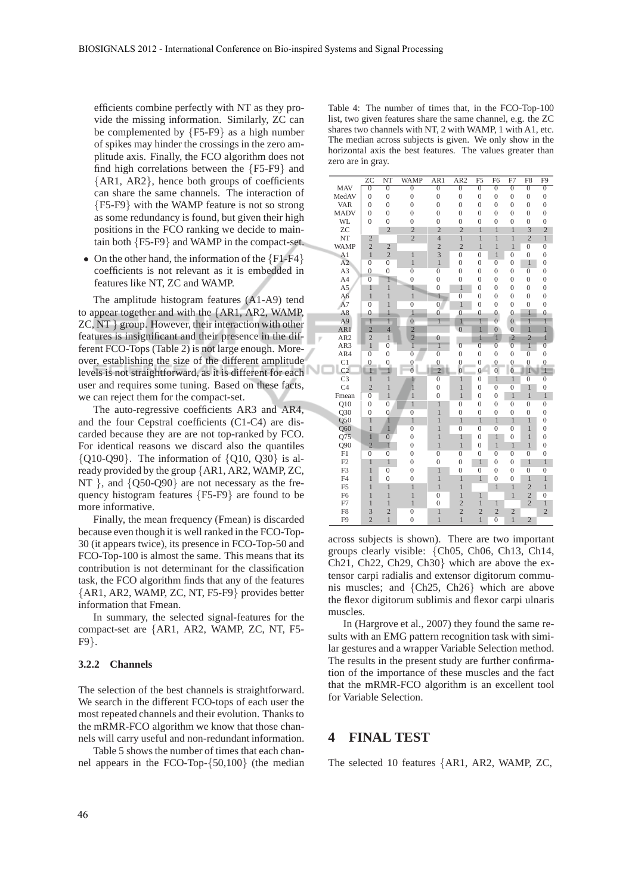efficients combine perfectly with NT as they provide the missing information. Similarly, ZC can be complemented by {F5-F9} as a high number of spikes may hinder the crossings in the zero amplitude axis. Finally, the FCO algorithm does not find high correlations between the {F5-F9} and {AR1, AR2}, hence both groups of coefficients can share the same channels. The interaction of {F5-F9} with the WAMP feature is not so strong as some redundancy is found, but given their high positions in the FCO ranking we decide to maintain both {F5-F9} and WAMP in the compact-set.

• On the other hand, the information of the  ${F1-F4}$ coefficients is not relevant as it is embedded in features like NT, ZC and WAMP.

The amplitude histogram features (A1-A9) tend to appear together and with the {AR1, AR2, WAMP, ZC, NT } group. However, their interaction with other features is insignificant and their presence in the different FCO-Tops (Table 2) is not large enough. Moreover, establishing the size of the different amplitude levels is not straightforward, as it is different for each user and requires some tuning. Based on these facts, we can reject them for the compact-set.

The auto-regressive coefficients AR3 and AR4, and the four Cepstral coefficients (C1-C4) are discarded because they are are not top-ranked by FCO. For identical reasons we discard also the quantiles  ${Q10-Q90}$ . The information of  ${Q10, Q30}$  is already provided by the group {AR1, AR2, WAMP, ZC, NT }, and  $\{Q50-Q90\}$  are not necessary as the frequency histogram features {F5-F9} are found to be more informative.

Finally, the mean frequency (Fmean) is discarded because even though it is well ranked in the FCO-Top-30 (it appears twice), its presence in FCO-Top-50 and FCO-Top-100 is almost the same. This means that its contribution is not determinant for the classification task, the FCO algorithm finds that any of the features {AR1, AR2, WAMP, ZC, NT, F5-F9} provides better information that Fmean.

In summary, the selected signal-features for the compact-set are {AR1, AR2, WAMP, ZC, NT, F5- F9}.

#### **3.2.2 Channels**

The selection of the best channels is straightforward. We search in the different FCO-tops of each user the most repeated channels and their evolution. Thanks to the mRMR-FCO algorithm we know that those channels will carry useful and non-redundant information.

Table 5 shows the number of times that each channel appears in the FCO-Top-{50,100} (the median Table 4: The number of times that, in the FCO-Top-100 list, two given features share the same channel, e.g. the ZC shares two channels with NT, 2 with WAMP, 1 with A1, etc. The median across subjects is given. We only show in the horizontal axis the best features. The values greater than zero are in gray.

|                  | ZС               | NT             | <b>WAMP</b>      | AR1              | AR <sub>2</sub>  | F <sub>5</sub> | F <sub>6</sub>   | F7               | F8               | F9               |
|------------------|------------------|----------------|------------------|------------------|------------------|----------------|------------------|------------------|------------------|------------------|
| <b>MAV</b>       | $\overline{0}$   | $\overline{0}$ | $\overline{0}$   | $\overline{0}$   | $\overline{0}$   | $\overline{0}$ | $\overline{0}$   | $\overline{0}$   | $\overline{0}$   | $\overline{0}$   |
| MedAV            | $\overline{0}$   | $\mathbf{0}$   | $\overline{0}$   | $\overline{0}$   | $\overline{0}$   | $\mathbf{0}$   | $\mathbf{0}$     | $\boldsymbol{0}$ | $\boldsymbol{0}$ | $\overline{0}$   |
| VAR              | $\mathbf{0}$     | $\overline{0}$ | $\overline{0}$   | $\overline{0}$   | $\overline{0}$   | $\overline{0}$ | $\overline{0}$   | $\overline{0}$   | $\overline{0}$   | $\mathbf{0}$     |
| <b>MADV</b>      | $\overline{0}$   | $\overline{0}$ | $\overline{0}$   | $\mathbf{0}$     | $\overline{0}$   | $\overline{0}$ | $\overline{0}$   | $\overline{0}$   | $\overline{0}$   | $\overline{0}$   |
| WL               | $\overline{0}$   | $\overline{0}$ | $\mathbf{0}$     | $\overline{0}$   | $\overline{0}$   | $\overline{0}$ | $\overline{0}$   | $\overline{0}$   | $\overline{0}$   | $\boldsymbol{0}$ |
| ZC               |                  | $\overline{c}$ | $\overline{c}$   | $\overline{c}$   | $\overline{c}$   | $\mathbf{1}$   | $\mathbf{1}$     | $\overline{1}$   | 3                | $\overline{c}$   |
| NT               | $\overline{2}$   |                | $\overline{c}$   | $\overline{4}$   | $\overline{1}$   | $\overline{1}$ | $\mathbf{1}$     | $\mathbf{1}$     | $\overline{2}$   | $\mathbf{1}$     |
| <b>WAMP</b>      | $\overline{c}$   | $\overline{c}$ |                  | $\overline{c}$   | $\overline{2}$   | $\overline{1}$ | $\overline{1}$   | $\overline{1}$   | $\overline{0}$   | $\overline{0}$   |
| A1               | $\overline{1}$   | $\overline{c}$ | $\mathbf{1}$     | $\overline{3}$   | $\overline{0}$   | $\overline{0}$ | $\overline{1}$   | $\overline{0}$   | $\overline{0}$   | $\boldsymbol{0}$ |
| A2               | $\overline{0}$   | $\overline{0}$ | $\overline{1}$   | $\overline{1}$   | $\overline{0}$   | $\overline{0}$ | $\overline{0}$   | $\overline{0}$   | $\mathbf{1}$     | $\boldsymbol{0}$ |
| A3               | $\overline{0}$   | $\mathbf{0}$   | $\overline{0}$   | $\overline{0}$   | $\overline{0}$   | $\overline{0}$ | $\overline{0}$   | $\mathbf{0}$     | $\overline{0}$   | $\overline{0}$   |
| A4               | $\overline{0}$   | $\overline{1}$ | $\mathbf{0}$     | $\overline{0}$   | $\mathbf{0}$     | $\overline{0}$ | $\overline{0}$   | $\overline{0}$   | $\overline{0}$   | $\overline{0}$   |
| A <sub>5</sub>   | $\mathbf{1}$     | $\mathbf{1}$   | 1                | $\overline{0}$   | $\mathbf{1}$     | $\overline{0}$ | $\boldsymbol{0}$ | $\overline{0}$   | $\overline{0}$   | $\overline{0}$   |
| A6               | $\overline{1}$   | $\overline{1}$ | $\mathbf{1}$     | $\mathbf{1}$     | $\overline{0}$   | $\overline{0}$ | $\boldsymbol{0}$ | $\boldsymbol{0}$ | $\boldsymbol{0}$ | $\overline{0}$   |
| A <sub>7</sub>   | $\overline{0}$   | $\overline{1}$ | $\overline{0}$   | $\overline{0}$   | $\mathbf{1}$     | $\overline{0}$ | $\mathbf{0}$     | $\overline{0}$   | $\overline{0}$   | $\mathbf{0}$     |
| A8               | $\overline{0}$   | $\mathbf{1}$   | $\mathbf{1}$     | $\overline{0}$   | $\overline{0}$   | $\overline{0}$ | $\boldsymbol{0}$ | $\overline{0}$   | $\mathbf{1}$     | $\boldsymbol{0}$ |
| A <sub>9</sub>   | $\overline{1}$   | $\overline{1}$ | $\overline{0}$   | $\overline{1}$   | $\overline{1}$   | $\overline{1}$ | $\overline{0}$   | $\overline{0}$   | $\overline{1}$   | $\overline{1}$   |
| AR1              | $\overline{2}$   | $\overline{4}$ | $\overline{2}$   |                  | $\overline{0}$   | $\overline{1}$ | $\overline{0}$   | $\overline{0}$   | $\overline{1}$   | $\overline{1}$   |
| AR <sub>2</sub>  | $\overline{c}$   | $\overline{1}$ |                  | $\mathbf{0}$     |                  | 1              | $\overline{1}$   | $\overline{2}$   | $\overline{c}$   | 1                |
| AR3              | $\overline{1}$   | $\overline{0}$ | $\frac{2}{1}$    | $\overline{1}$   | $\overline{0}$   | $\overline{0}$ | $\overline{0}$   | $\overline{0}$   | $\overline{1}$   | $\overline{0}$   |
| AR4              | $\overline{0}$   | $\overline{0}$ | $\overline{0}$   | $\overline{0}$   | $\overline{0}$   | $\overline{0}$ | $\overline{0}$   | $\overline{0}$   | $\overline{0}$   | $\overline{0}$   |
| C1               | $\boldsymbol{0}$ | $\mathbf{0}$   | $\boldsymbol{0}$ | $\boldsymbol{0}$ | $\boldsymbol{0}$ | $\mathbf{0}$   | $\mathbf{0}$     | $\overline{0}$   | $\overline{0}$   | $\overline{0}$   |
| C <sub>2</sub>   | $\overline{1}$   | $\mathbf{1}$   | $\overline{0}$   | $\overline{2}$   | $\overline{0}$   | $\overline{0}$ | $\overline{0}$   | $\overline{0}$   | $\mathbf{1}$     | 1                |
| C <sub>3</sub>   | $\overline{1}$   | $\mathbf{1}$   | $\mathbf{1}$     | $\overline{0}$   | $\,1$            | $\overline{0}$ | $\overline{1}$   | $\mathbf{1}$     | $\overline{0}$   | $\overline{0}$   |
| C <sub>4</sub>   | $\overline{c}$   | $\overline{1}$ | $\overline{1}$   | $\overline{0}$   | $\overline{1}$   | $\overline{0}$ | $\overline{0}$   | $\overline{0}$   | $\mathbf{1}$     | $\overline{0}$   |
| Fmean            | $\overline{0}$   | $\overline{1}$ | $\mathbf{1}$     | $\mathbf{0}$     | $\overline{1}$   | $\overline{0}$ | $\boldsymbol{0}$ | $\overline{1}$   | $\mathbf{1}$     | $\mathbf{1}$     |
| Q10              | $\mathbf{0}$     | $\overline{0}$ | $\overline{1}$   | $\mathbf{1}$     | $\overline{0}$   | $\overline{0}$ | $\mathbf{0}$     | $\overline{0}$   | $\overline{0}$   | $\boldsymbol{0}$ |
| $\overline{Q}30$ | $\mathbf{0}$     | $\overline{0}$ | $\overline{0}$   | $\mathbf{1}$     | $\overline{0}$   | $\overline{0}$ | $\overline{0}$   | $\overline{0}$   | $\overline{0}$   | $\overline{0}$   |
| Q50              | $\mathbf{1}$     | 1              | $\overline{1}$   | $\overline{1}$   | $\mathbf{1}$     | $\mathbf{1}$   | $\mathbf{1}$     | $\mathbf{1}$     | $\mathbf{1}$     | $\overline{0}$   |
| Q60              | $\mathbf{1}$     | $\mathbf{1}$   | $\overline{0}$   | $\overline{1}$   | $\overline{0}$   | $\overline{0}$ | $\overline{0}$   | $\overline{0}$   | $\mathbf{1}$     | $\overline{0}$   |
| $Q\overline{75}$ | $\overline{1}$   | $\overline{0}$ | $\mathbf{0}$     | $\overline{1}$   | $\mathbf{1}$     | $\overline{0}$ | 1                | $\overline{0}$   | $\overline{1}$   | $\boldsymbol{0}$ |
| Q90              | $\overline{2}$   | $\overline{1}$ | $\mathbf{0}$     | $\mathbf{1}$     | $\mathbf{1}$     | $\overline{0}$ | $\mathbf{1}$     | $\,1\,$          | $\,1$            | $\overline{0}$   |
| F1               | $\overline{0}$   | $\overline{0}$ | $\mathbf{0}$     | $\overline{0}$   | $\overline{0}$   | $\overline{0}$ | $\overline{0}$   | $\overline{0}$   | $\overline{0}$   | $\mathbf{0}$     |
| F2               | $\mathbf{1}$     | $\mathbf{1}$   | $\mathbf{0}$     | $\mathbf{0}$     | $\overline{0}$   | $\overline{1}$ | $\mathbf{0}$     | $\mathbf{0}$     | $\overline{1}$   | 1                |
| F <sub>3</sub>   | $\overline{1}$   | $\overline{0}$ | $\boldsymbol{0}$ | $\mathbf{1}$     | $\mathbf{0}$     | $\overline{0}$ | $\overline{0}$   | $\mathbf{0}$     | $\overline{0}$   | $\overline{0}$   |
| F4               | $\overline{1}$   | $\mathbf{0}$   | $\boldsymbol{0}$ | $\overline{1}$   | $\mathbf{1}$     | $\overline{1}$ | $\boldsymbol{0}$ | $\overline{0}$   | $\mathbf{1}$     | $\mathbf{1}$     |
| F <sub>5</sub>   | $\overline{1}$   | $\overline{1}$ | $\overline{1}$   | $\overline{1}$   | $\overline{1}$   |                | $\mathbf{1}$     | $\mathbf{1}$     | $\overline{2}$   | 1                |
| F <sub>6</sub>   | $\overline{1}$   | $\overline{1}$ | $\mathbf{1}$     | $\overline{0}$   | $\mathbf{1}$     | $\overline{1}$ |                  | $\overline{1}$   | $\overline{c}$   | $\overline{0}$   |
| F7               | $\overline{1}$   | $\overline{1}$ | $\overline{1}$   | $\mathbf{0}$     | $\overline{c}$   | $\overline{1}$ | $\mathbf{1}$     |                  | $\overline{2}$   | $\mathbf{1}$     |
| F <sub>8</sub>   | 3                | $\overline{c}$ | $\overline{0}$   | $\overline{1}$   | $\overline{c}$   | $\overline{c}$ | $\overline{c}$   | $\overline{2}$   |                  | $\overline{2}$   |
| F9               | $\overline{c}$   | $\mathbf{1}$   | $\mathbf{0}$     | $\mathbf{1}$     | $\mathbf{1}$     | $\overline{1}$ | $\overline{0}$   | $\mathbf{1}$     | $\overline{2}$   |                  |

across subjects is shown). There are two important groups clearly visible: {Ch05, Ch06, Ch13, Ch14, Ch21, Ch22, Ch29, Ch30} which are above the extensor carpi radialis and extensor digitorum communis muscles; and {Ch25, Ch26} which are above the flexor digitorum sublimis and flexor carpi ulnaris muscles.

In (Hargrove et al., 2007) they found the same results with an EMG pattern recognition task with similar gestures and a wrapper Variable Selection method. The results in the present study are further confirmation of the importance of these muscles and the fact that the mRMR-FCO algorithm is an excellent tool for Variable Selection.

### **4 FINAL TEST**

The selected 10 features {AR1, AR2, WAMP, ZC,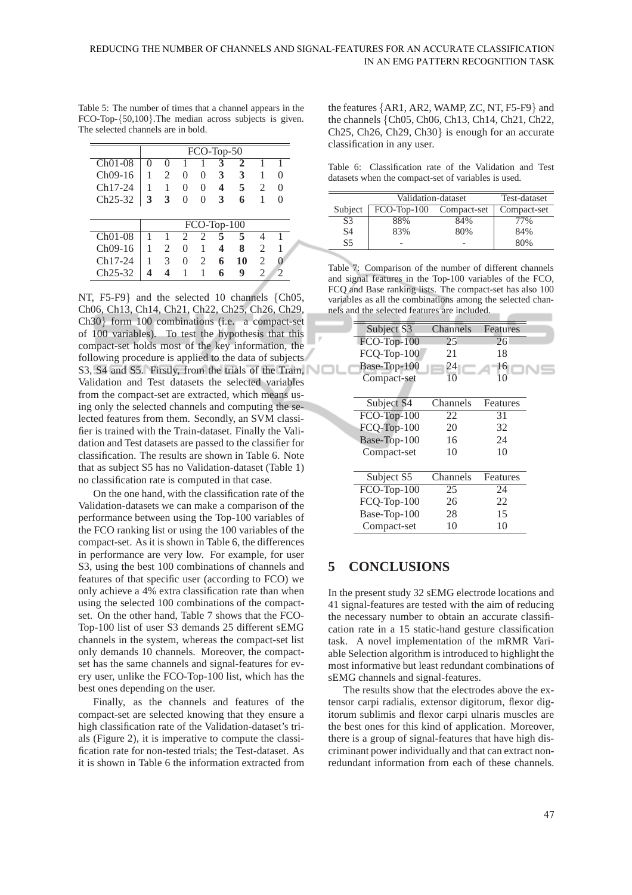Table 5: The number of times that a channel appears in the FCO-Top-{50,100}.The median across subjects is given. The selected channels are in bold.

|                      |              |                |                   |          | FCO-Top-50    |    |                |               |
|----------------------|--------------|----------------|-------------------|----------|---------------|----|----------------|---------------|
| $ChO1-08$            | $\mathbf{0}$ | $\theta$       |                   |          | 3             |    |                |               |
| Ch09-16              |              | 2              | $\mathbf{\Omega}$ | $\theta$ | 3             | 3  |                | $\theta$      |
| Ch17-24              |              | 1              | $\theta$          | $\theta$ | 4             | 5  | $\mathfrak{D}$ | 0             |
| Ch25-32              | 3            | 3              | 0                 | 0        | 3             | 6  |                | 0             |
|                      |              |                |                   |          |               |    |                |               |
|                      |              |                |                   |          | $FCO-Top-100$ |    |                |               |
| $ChO1-08$            |              |                | 2                 | 2        | 5             | 5  | Δ              |               |
| Ch09-16              |              | $\mathfrak{D}$ | 0                 |          | 4             | 8  | $\mathfrak{D}$ |               |
| $Ch17-24$            |              | 3              | $\theta$          | 2        | 6             | 10 | 2              | 0             |
| Ch <sub>25</sub> -32 |              |                |                   |          | 6             | 9  | 2              | $\mathcal{D}$ |

NT, F5-F9} and the selected 10 channels {Ch05, Ch06, Ch13, Ch14, Ch21, Ch22, Ch25, Ch26, Ch29, Ch30} form 100 combinations (i.e. a compact-set of 100 variables). To test the hypothesis that this compact-set holds most of the key information, the following procedure is applied to the data of subjects S3, S4 and S5. Firstly, from the trials of the Train, Validation and Test datasets the selected variables from the compact-set are extracted, which means using only the selected channels and computing the selected features from them. Secondly, an SVM classifier is trained with the Train-dataset. Finally the Validation and Test datasets are passed to the classifier for classification. The results are shown in Table 6. Note that as subject S5 has no Validation-dataset (Table 1) no classification rate is computed in that case.

On the one hand, with the classification rate of the Validation-datasets we can make a comparison of the performance between using the Top-100 variables of the FCO ranking list or using the 100 variables of the compact-set. As it is shown in Table 6, the differences in performance are very low. For example, for user S3, using the best 100 combinations of channels and features of that specific user (according to FCO) we only achieve a 4% extra classification rate than when using the selected 100 combinations of the compactset. On the other hand, Table 7 shows that the FCO-Top-100 list of user S3 demands 25 different sEMG channels in the system, whereas the compact-set list only demands 10 channels. Moreover, the compactset has the same channels and signal-features for every user, unlike the FCO-Top-100 list, which has the best ones depending on the user.

Finally, as the channels and features of the compact-set are selected knowing that they ensure a high classification rate of the Validation-dataset's trials (Figure 2), it is imperative to compute the classification rate for non-tested trials; the Test-dataset. As it is shown in Table 6 the information extracted from

the features {AR1, AR2, WAMP, ZC, NT, F5-F9} and the channels {Ch05, Ch06, Ch13, Ch14, Ch21, Ch22, Ch25, Ch26, Ch29, Ch30} is enough for an accurate classification in any user.

Table 6: Classification rate of the Validation and Test datasets when the compact-set of variables is used.

|         |               | Validation-dataset | Test-dataset |
|---------|---------------|--------------------|--------------|
| Subject | $FCO-Top-100$ | Compact-set        | Compact-set  |
| S3      | 88%           | 84%                | 77%          |
| S4      | 83%           | 80%                | 84%          |
| S5      |               |                    | 80%          |

Table 7: Comparison of the number of different channels and signal features in the Top-100 variables of the FCO, FCQ and Base ranking lists. The compact-set has also 100 variables as all the combinations among the selected channels and the selected features are included.

| Subject S3    | <b>Channels</b> | Features        |
|---------------|-----------------|-----------------|
| FCO-Top-100   | 25              | 26              |
| FCQ-Top-100   | 21              | 18              |
| Base-Top-100  | 24              | 16              |
| Compact-set   | $\overline{10}$ | $\overline{10}$ |
|               |                 |                 |
| Subject S4    | Channels        | Features        |
| FCO-Top-100   | 22              | 31              |
| FCQ-Top-100   | 20              | 32              |
| Base-Top-100  | 16              | 24              |
| Compact-set   | 10              | 10              |
|               |                 |                 |
| Subject S5    | Channels        | Features        |
| $FCO-Top-100$ | 25              | 24              |
| FCQ-Top-100   | 26              | 22              |
| Base-Top-100  | 28              | 15              |
| Compact-set   | 10              | 10              |

## **5 CONCLUSIONS**

In the present study 32 sEMG electrode locations and 41 signal-features are tested with the aim of reducing the necessary number to obtain an accurate classification rate in a 15 static-hand gesture classification task. A novel implementation of the mRMR Variable Selection algorithm is introduced to highlight the most informative but least redundant combinations of sEMG channels and signal-features.

The results show that the electrodes above the extensor carpi radialis, extensor digitorum, flexor digitorum sublimis and flexor carpi ulnaris muscles are the best ones for this kind of application. Moreover, there is a group of signal-features that have high discriminant power individually and that can extract nonredundant information from each of these channels.